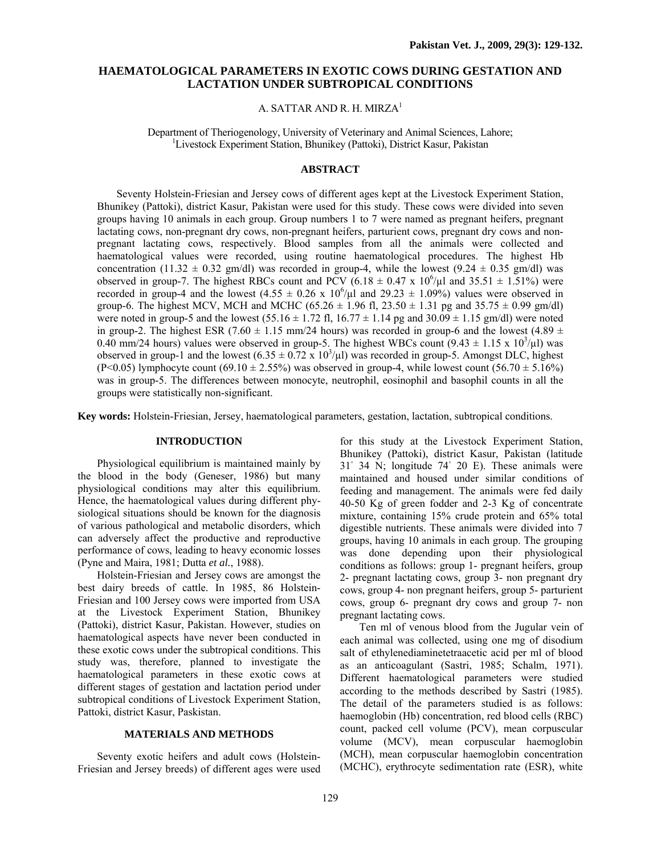# **HAEMATOLOGICAL PARAMETERS IN EXOTIC COWS DURING GESTATION AND LACTATION UNDER SUBTROPICAL CONDITIONS**

## A. SATTAR AND R. H. MIRZA<sup>1</sup>

Department of Theriogenology, University of Veterinary and Animal Sciences, Lahore; 1 <sup>1</sup>Livestock Experiment Station, Bhunikey (Pattoki), District Kasur, Pakistan

## **ABSTRACT**

Seventy Holstein-Friesian and Jersey cows of different ages kept at the Livestock Experiment Station, Bhunikey (Pattoki), district Kasur, Pakistan were used for this study. These cows were divided into seven groups having 10 animals in each group. Group numbers 1 to 7 were named as pregnant heifers, pregnant lactating cows, non-pregnant dry cows, non-pregnant heifers, parturient cows, pregnant dry cows and nonpregnant lactating cows, respectively. Blood samples from all the animals were collected and haematological values were recorded, using routine haematological procedures. The highest Hb concentration (11.32  $\pm$  0.32 gm/dl) was recorded in group-4, while the lowest (9.24  $\pm$  0.35 gm/dl) was observed in group-7. The highest RBCs count and PCV (6.18  $\pm$  0.47 x 10<sup>6</sup>/ $\mu$ l and 35.51  $\pm$  1.51%) were recorded in group-4 and the lowest  $(4.55 \pm 0.26 \times 10^6/\mu)$  and  $29.23 \pm 1.09\%$ ) values were observed in group-6. The highest MCV, MCH and MCHC (65.26  $\pm$  1.96 fl, 23.50  $\pm$  1.31 pg and 35.75  $\pm$  0.99 gm/dl) were noted in group-5 and the lowest  $(55.16 \pm 1.72 \text{ fl}, 16.77 \pm 1.14 \text{ pg} \text{ and } 30.09 \pm 1.15 \text{ gm/dl})$  were noted in group-2. The highest ESR (7.60  $\pm$  1.15 mm/24 hours) was recorded in group-6 and the lowest (4.89  $\pm$ 0.40 mm/24 hours) values were observed in group-5. The highest WBCs count  $(9.43 \pm 1.15 \times 10^3/\mu)$  was observed in group-1 and the lowest  $(6.35 \pm 0.72 \times 10^3/\mu l)$  was recorded in group-5. Amongst DLC, highest (P<0.05) lymphocyte count  $(69.10 \pm 2.55\%)$  was observed in group-4, while lowest count  $(56.70 \pm 5.16\%)$ was in group-5. The differences between monocyte, neutrophil, eosinophil and basophil counts in all the groups were statistically non-significant.

**Key words:** Holstein-Friesian, Jersey, haematological parameters, gestation, lactation, subtropical conditions.

#### **INTRODUCTION**

Physiological equilibrium is maintained mainly by the blood in the body (Geneser, 1986) but many physiological conditions may alter this equilibrium. Hence, the haematological values during different physiological situations should be known for the diagnosis of various pathological and metabolic disorders, which can adversely affect the productive and reproductive performance of cows, leading to heavy economic losses (Pyne and Maira, 1981; Dutta *et al.*, 1988).

Holstein-Friesian and Jersey cows are amongst the best dairy breeds of cattle. In 1985, 86 Holstein-Friesian and 100 Jersey cows were imported from USA at the Livestock Experiment Station, Bhunikey (Pattoki), district Kasur, Pakistan. However, studies on haematological aspects have never been conducted in these exotic cows under the subtropical conditions. This study was, therefore, planned to investigate the haematological parameters in these exotic cows at different stages of gestation and lactation period under subtropical conditions of Livestock Experiment Station, Pattoki, district Kasur, Paskistan.

## **MATERIALS AND METHODS**

Seventy exotic heifers and adult cows (Holstein-Friesian and Jersey breeds) of different ages were used for this study at the Livestock Experiment Station, Bhunikey (Pattoki), district Kasur, Pakistan (latitude 31◦ 34 N; longitude 74◦ 20 E). These animals were maintained and housed under similar conditions of feeding and management. The animals were fed daily 40-50 Kg of green fodder and 2-3 Kg of concentrate mixture, containing 15% crude protein and 65% total digestible nutrients. These animals were divided into 7 groups, having 10 animals in each group. The grouping was done depending upon their physiological conditions as follows: group 1- pregnant heifers, group 2- pregnant lactating cows, group 3- non pregnant dry cows, group 4- non pregnant heifers, group 5- parturient cows, group 6- pregnant dry cows and group 7- non pregnant lactating cows.

Ten ml of venous blood from the Jugular vein of each animal was collected, using one mg of disodium salt of ethylenediaminetetraacetic acid per ml of blood as an anticoagulant (Sastri, 1985; Schalm, 1971). Different haematological parameters were studied according to the methods described by Sastri (1985). The detail of the parameters studied is as follows: haemoglobin (Hb) concentration, red blood cells (RBC) count, packed cell volume (PCV), mean corpuscular volume (MCV), mean corpuscular haemoglobin (MCH), mean corpuscular haemoglobin concentration (MCHC), erythrocyte sedimentation rate (ESR), white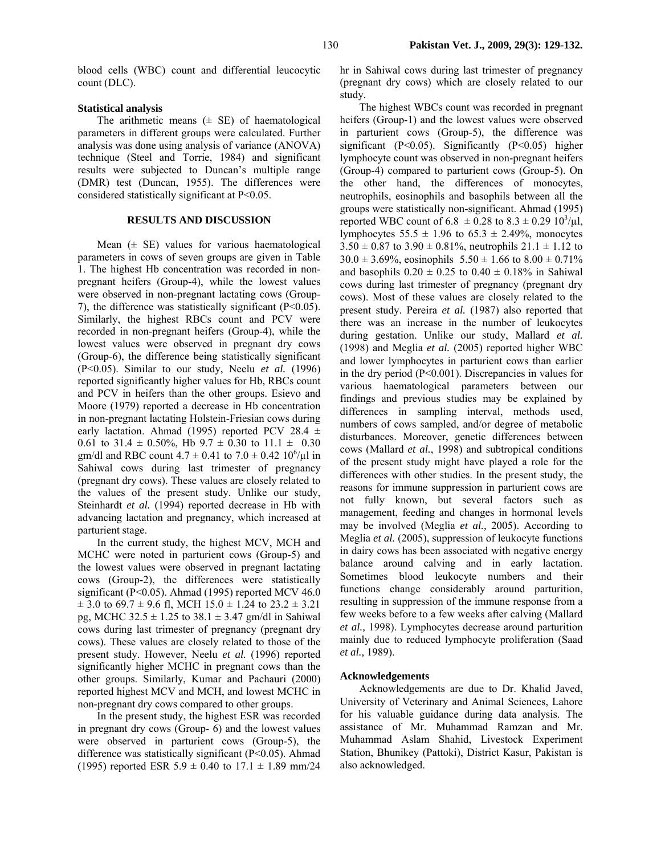blood cells (WBC) count and differential leucocytic count (DLC).

#### **Statistical analysis**

The arithmetic means  $(\pm \text{ SE})$  of haematological parameters in different groups were calculated. Further analysis was done using analysis of variance (ANOVA) technique (Steel and Torrie, 1984) and significant results were subjected to Duncan's multiple range (DMR) test (Duncan, 1955). The differences were considered statistically significant at P<0.05.

## **RESULTS AND DISCUSSION**

Mean  $(\pm \text{ SE})$  values for various haematological parameters in cows of seven groups are given in Table 1. The highest Hb concentration was recorded in nonpregnant heifers (Group-4), while the lowest values were observed in non-pregnant lactating cows (Group-7), the difference was statistically significant  $(P<0.05)$ . Similarly, the highest RBCs count and PCV were recorded in non-pregnant heifers (Group-4), while the lowest values were observed in pregnant dry cows (Group-6), the difference being statistically significant (P<0.05). Similar to our study, Neelu *et al.* (1996) reported significantly higher values for Hb, RBCs count and PCV in heifers than the other groups. Esievo and Moore (1979) reported a decrease in Hb concentration in non-pregnant lactating Holstein-Friesian cows during early lactation. Ahmad (1995) reported PCV 28.4  $\pm$ 0.61 to 31.4  $\pm$  0.50%, Hb 9.7  $\pm$  0.30 to 11.1  $\pm$  0.30 gm/dl and RBC count  $4.7 \pm 0.41$  to  $7.0 \pm 0.42$   $10^{6}/\mu$ l in Sahiwal cows during last trimester of pregnancy (pregnant dry cows). These values are closely related to the values of the present study. Unlike our study, Steinhardt *et al.* (1994) reported decrease in Hb with advancing lactation and pregnancy, which increased at parturient stage.

In the current study, the highest MCV, MCH and MCHC were noted in parturient cows (Group-5) and the lowest values were observed in pregnant lactating cows (Group-2), the differences were statistically significant (P<0.05). Ahmad (1995) reported MCV 46.0  $\pm$  3.0 to 69.7  $\pm$  9.6 fl, MCH 15.0  $\pm$  1.24 to 23.2  $\pm$  3.21 pg, MCHC  $32.5 \pm 1.25$  to  $38.1 \pm 3.47$  gm/dl in Sahiwal cows during last trimester of pregnancy (pregnant dry cows). These values are closely related to those of the present study. However, Neelu *et al.* (1996) reported significantly higher MCHC in pregnant cows than the other groups. Similarly, Kumar and Pachauri (2000) reported highest MCV and MCH, and lowest MCHC in non-pregnant dry cows compared to other groups.

In the present study, the highest ESR was recorded in pregnant dry cows (Group- 6) and the lowest values were observed in parturient cows (Group-5), the difference was statistically significant (P<0.05). Ahmad (1995) reported ESR  $5.9 \pm 0.40$  to  $17.1 \pm 1.89$  mm/24 hr in Sahiwal cows during last trimester of pregnancy (pregnant dry cows) which are closely related to our study.

The highest WBCs count was recorded in pregnant heifers (Group-1) and the lowest values were observed in parturient cows (Group-5), the difference was significant  $(P<0.05)$ . Significantly  $(P<0.05)$  higher lymphocyte count was observed in non-pregnant heifers (Group-4) compared to parturient cows (Group-5). On the other hand, the differences of monocytes, neutrophils, eosinophils and basophils between all the groups were statistically non-significant. Ahmad (1995) reported WBC count of  $6.8 \pm 0.28$  to  $8.3 \pm 0.29$   $10^3/\mu$ . lymphocytes  $55.5 \pm 1.96$  to  $65.3 \pm 2.49\%$ , monocytes  $3.50 \pm 0.87$  to  $3.90 \pm 0.81\%$ , neutrophils  $21.1 \pm 1.12$  to  $30.0 \pm 3.69\%$ , eosinophils  $5.50 \pm 1.66$  to  $8.00 \pm 0.71\%$ and basophils  $0.20 \pm 0.25$  to  $0.40 \pm 0.18\%$  in Sahiwal cows during last trimester of pregnancy (pregnant dry cows). Most of these values are closely related to the present study. Pereira *et al.* (1987) also reported that there was an increase in the number of leukocytes during gestation. Unlike our study, Mallard *et al.* (1998) and Meglia *et al.* (2005) reported higher WBC and lower lymphocytes in parturient cows than earlier in the dry period (P<0.001). Discrepancies in values for various haematological parameters between our findings and previous studies may be explained by differences in sampling interval, methods used, numbers of cows sampled, and/or degree of metabolic disturbances. Moreover, genetic differences between cows (Mallard *et al.*, 1998) and subtropical conditions of the present study might have played a role for the differences with other studies. In the present study, the reasons for immune suppression in parturient cows are not fully known, but several factors such as management, feeding and changes in hormonal levels may be involved (Meglia *et al.,* 2005). According to Meglia *et al.* (2005), suppression of leukocyte functions in dairy cows has been associated with negative energy balance around calving and in early lactation. Sometimes blood leukocyte numbers and their functions change considerably around parturition, resulting in suppression of the immune response from a few weeks before to a few weeks after calving (Mallard *et al.,* 1998). Lymphocytes decrease around parturition mainly due to reduced lymphocyte proliferation (Saad *et al.,* 1989).

#### **Acknowledgements**

Acknowledgements are due to Dr. Khalid Javed, University of Veterinary and Animal Sciences, Lahore for his valuable guidance during data analysis. The assistance of Mr. Muhammad Ramzan and Mr. Muhammad Aslam Shahid, Livestock Experiment Station, Bhunikey (Pattoki), District Kasur, Pakistan is also acknowledged.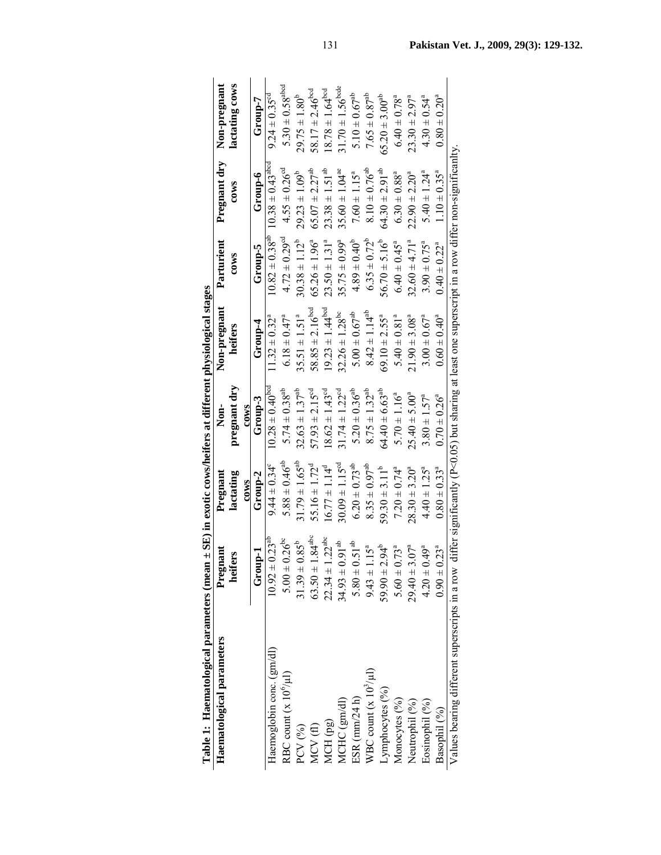|                                                     | <b>Jon-pregnant</b>                                                                   |
|-----------------------------------------------------|---------------------------------------------------------------------------------------|
|                                                     | regnant dry<br>$\frac{1}{2}$<br>ſ                                                     |
| D                                                   | urient<br>i                                                                           |
| i<br>$\ddot{\phantom{0}}$<br>l                      | Non-pregnant<br>$\ddot{a}$<br>ĭ                                                       |
| t differen<br>heifers a                             | ֖֖֖֖֖֧ׅ֪֪֪ׅ֖֧֧֪֪֪ׅ֖֧֚֚֚֚֚֚֚֚֚֚֚֚֚֚֚֚֚֚֚֚֚֚֡֕֝֝֝֟֩֝֟֝֝֟֓֝֬֝֝<br>֧֪֪֪֪֪֪֪֪֪֪֪֪֪֝֩֩<br>ģ |
| $\therefore$ arean $\pm$ SE) in exotic corrections. | $\frac{1}{2}$<br>֧֚֝<br>֧֚֝<br>֧֚֚֝<br>4<br>f                                         |
|                                                     | nant<br>I<br>)                                                                        |
|                                                     | ׇ֞֘֡                                                                                  |

| Haematological parameters                      | $\overline{\text{Pregnant}}$         | Pregnant                      | Non-                           | Non-pregnant                                                                                           | Parturient                     |                                  | Pregnant dry Non-pregnant       |
|------------------------------------------------|--------------------------------------|-------------------------------|--------------------------------|--------------------------------------------------------------------------------------------------------|--------------------------------|----------------------------------|---------------------------------|
|                                                | heifers                              | lactating                     | pregnant dry                   | heifers                                                                                                | $_{\rm{COWS}}$                 | $\cos$                           | lactating cows                  |
|                                                |                                      | c <sub>0W</sub>               | $c0$ ws                        |                                                                                                        |                                |                                  |                                 |
|                                                | Group-1                              | Group-2                       | Group-3                        | $Group-4$                                                                                              | Group-5                        | Group-6                          | $Group-7$                       |
| Haemoglobin conc. (gm/dl)                      | $0.23^{ab}$<br>$10.92 \pm$           | $9.44 \pm 0.34^{\circ}$       | $0.28 \pm 0.40^{\text{bcc}}$   | $1.32 \pm 0.32^{\rm a}$                                                                                | $10.82 \pm 0.38$ <sup>ab</sup> | $10.38 \pm 0.43$ <sup>abco</sup> | $9.24 \pm 0.35$ <sup>cd</sup>   |
| RBC count $(x 10o/\mu l)$                      | $5.00 \pm 0.26^{\rm bc}$             | $5.88 \pm 0.46^{ab}$          | $5.74 \pm 0.38^{ab}$           | $6.18 \pm 0.47^a$                                                                                      | $4.72 \pm 0.29^{\circ d}$      | $4.55 \pm 0.26$ <sup>cd</sup>    | $5.30 \pm 0.58$ <sup>abcd</sup> |
| PCV (%)                                        | $31.39 \pm 0.85^b$                   | $31.79 \pm 1.65^{ab}$         | $32.63 \pm 1.37^{ab}$          | $35.51 \pm 1.51^a$                                                                                     | $30.38 \pm 1.12^b$             | $29.23 \pm 1.09^b$               | $29.75 \pm 1.80^b$              |
| MCV(fl)                                        | 1.84 <sup>abc</sup><br>$63.50 \pm 1$ | $55.16 \pm 1.72^{\circ}$      | $57.93 \pm 2.15^{cd}$          | $58.85 \pm 2.16^{\text{bcd}}$                                                                          | $65.26 \pm 1.96^a$             | $65.07 \pm 2.27^{ab}$            | 58.17 $\pm$ 2.46 <sup>bcd</sup> |
| MCH (pg)                                       | .22 <sup>abc</sup><br>$22.34 \pm 1$  | $16.77 \pm 1.14^d$            | $18.62 \pm 1.43$ <sup>cd</sup> | $19.23 \pm 1.44^{\text{bcd}}$                                                                          | $23.50 \pm 1.31^a$             | $23.38 \pm 1.51^{ab}$            | $18.78 \pm 1.64^{bcd}$          |
| MCHC (gm/dl)                                   | $9.91^{ab}$<br>$34.93 \pm 0$         | $30.09 \pm 1.15^{\circ d}$    | $31.74 \pm 1.22^{cd}$          | $32.26 \pm 1.28$ <sup>bc</sup>                                                                         | $35.75 \pm 0.99^a$             | $35.60 \pm 1.04^{ac}$            | $31.70 \pm 1.56^{\text{bode}}$  |
| ESR $(mm/24 h)$                                | $5.80 \pm 0.51^{ab}$                 | $6.20 \pm 0.73$ <sup>ab</sup> | $5.20 \pm 0.36^{ab}$           | $5.00 \pm 0.67^{ab}$                                                                                   | $4.89 \pm 0.40^b$              | $7.60 \pm 1.15^a$                | $5.10 \pm 0.67^{ab}$            |
| WBC count $(x 102/\mu l)$                      | 15 <sup>a</sup><br>$9.43 \pm 1$      | $8.35 \pm 0.97^{ab}$          | $8.75 \pm 1.32^{ab}$           | $8.42 \pm 1.14^{ab}$                                                                                   | $6.35 \pm 0.72^b$              | $8.10 \pm 0.76^{ab}$             | $7.65 \pm 0.87$ <sup>ab</sup>   |
| Lymphocytes (%)                                | $-56$<br>$59.90 \pm 2$               | $59.30 \pm 3.11^b$            | $64.40 \pm 6.63$ <sup>ab</sup> | $69.10 \pm 2.55^a$                                                                                     | $56.70 \pm 5.16^b$             | $64.30 \pm 2.91^{ab}$            | $65.20 \pm 3.00^{ab}$           |
| Monocytes (%)                                  | $73^a$<br>$0 \pm 09.5$               | $7.20 \pm 0.74$ <sup>a</sup>  | $5.70 \pm 1.16^a$              | $5.40 \pm 0.81$ <sup>a</sup>                                                                           | $6.40 \pm 0.45^a$              | $6.30 \pm 0.88$ <sup>a</sup>     | $6.40 \pm 0.78$ <sup>a</sup>    |
| Neutrophil (%)                                 | .07 <sup>a</sup><br>$29.40 \pm 3$    | $28.30 \pm 3.20^a$            | $25.40 \pm 5.00^a$             | $21.90 \pm 3.08^a$                                                                                     | $32.60 \pm 4.71$ <sup>a</sup>  | $22.90 \pm 2.20^a$               | $23.30 \pm 2.97^a$              |
| Eosinophil <sup>(%)</sup>                      | $49^a$<br>$4.20 \pm 0$               | $4.40 \pm 1.25^a$             | $3.80 \pm 1.57^a$              | $3.00 \pm 0.67^{\circ}$                                                                                | $3.90 \pm 0.75^{\circ}$        | $5.40 \pm 1.24^a$                | $4.30 \pm 0.54^a$               |
| Basophil <sup>(%)</sup>                        | $23^{a}$<br>$0.90 \pm 0$             | $0.80 \pm 0.33$ <sup>a</sup>  | $0.70 \pm 0.26^{\circ}$        | $0.60 \pm 0.40^a$                                                                                      | $0.40 \pm 0.22^a$              | $1.10 \pm 0.35^a$                | $0.80 \pm 0.20^a$               |
| Values bearing different superscripts in a row |                                      |                               |                                | differ significantly $(P<0.05)$ but sharing at least one superscript in a row differ non-significanlty |                                |                                  |                                 |